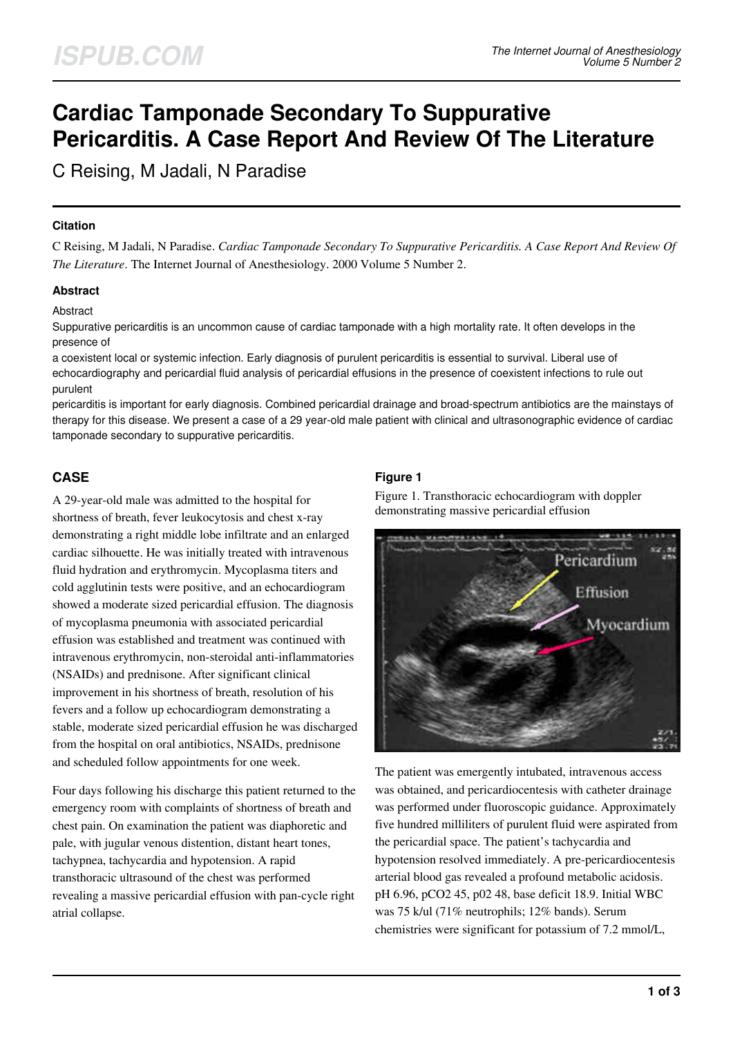# **Cardiac Tamponade Secondary To Suppurative Pericarditis. A Case Report And Review Of The Literature**

C Reising, M Jadali, N Paradise

### **Citation**

C Reising, M Jadali, N Paradise. *Cardiac Tamponade Secondary To Suppurative Pericarditis. A Case Report And Review Of The Literature*. The Internet Journal of Anesthesiology. 2000 Volume 5 Number 2.

### **Abstract**

### Abstract

Suppurative pericarditis is an uncommon cause of cardiac tamponade with a high mortality rate. It often develops in the presence of

a coexistent local or systemic infection. Early diagnosis of purulent pericarditis is essential to survival. Liberal use of echocardiography and pericardial fluid analysis of pericardial effusions in the presence of coexistent infections to rule out purulent

pericarditis is important for early diagnosis. Combined pericardial drainage and broad-spectrum antibiotics are the mainstays of therapy for this disease. We present a case of a 29 year-old male patient with clinical and ultrasonographic evidence of cardiac tamponade secondary to suppurative pericarditis.

## **CASE**

A 29-year-old male was admitted to the hospital for shortness of breath, fever leukocytosis and chest x-ray demonstrating a right middle lobe infiltrate and an enlarged cardiac silhouette. He was initially treated with intravenous fluid hydration and erythromycin. Mycoplasma titers and cold agglutinin tests were positive, and an echocardiogram showed a moderate sized pericardial effusion. The diagnosis of mycoplasma pneumonia with associated pericardial effusion was established and treatment was continued with intravenous erythromycin, non-steroidal anti-inflammatories (NSAIDs) and prednisone. After significant clinical improvement in his shortness of breath, resolution of his fevers and a follow up echocardiogram demonstrating a stable, moderate sized pericardial effusion he was discharged from the hospital on oral antibiotics, NSAIDs, prednisone and scheduled follow appointments for one week.

Four days following his discharge this patient returned to the emergency room with complaints of shortness of breath and chest pain. On examination the patient was diaphoretic and pale, with jugular venous distention, distant heart tones, tachypnea, tachycardia and hypotension. A rapid transthoracic ultrasound of the chest was performed revealing a massive pericardial effusion with pan-cycle right atrial collapse.

### **Figure 1**

Figure 1. Transthoracic echocardiogram with doppler demonstrating massive pericardial effusion



The patient was emergently intubated, intravenous access was obtained, and pericardiocentesis with catheter drainage was performed under fluoroscopic guidance. Approximately five hundred milliliters of purulent fluid were aspirated from the pericardial space. The patient's tachycardia and hypotension resolved immediately. A pre-pericardiocentesis arterial blood gas revealed a profound metabolic acidosis. pH 6.96, pCO2 45, p02 48, base deficit 18.9. Initial WBC was 75 k/ul (71% neutrophils; 12% bands). Serum chemistries were significant for potassium of 7.2 mmol/L,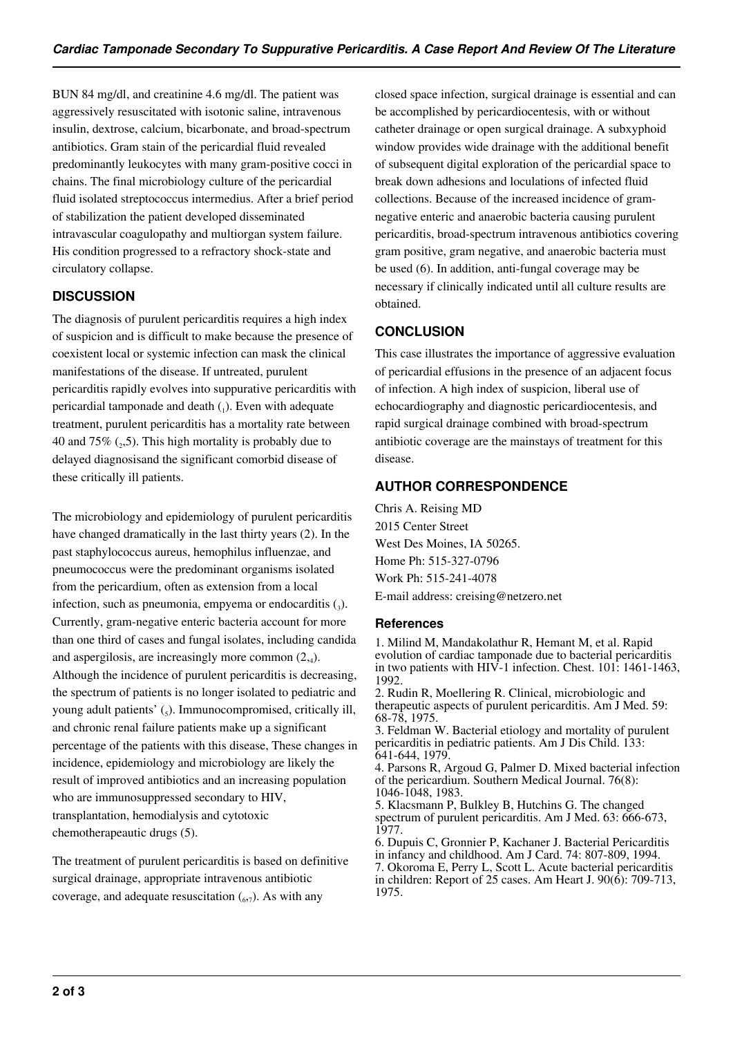BUN 84 mg/dl, and creatinine 4.6 mg/dl. The patient was aggressively resuscitated with isotonic saline, intravenous insulin, dextrose, calcium, bicarbonate, and broad-spectrum antibiotics. Gram stain of the pericardial fluid revealed predominantly leukocytes with many gram-positive cocci in chains. The final microbiology culture of the pericardial fluid isolated streptococcus intermedius. After a brief period of stabilization the patient developed disseminated intravascular coagulopathy and multiorgan system failure. His condition progressed to a refractory shock-state and circulatory collapse.

### **DISCUSSION**

The diagnosis of purulent pericarditis requires a high index of suspicion and is difficult to make because the presence of coexistent local or systemic infection can mask the clinical manifestations of the disease. If untreated, purulent pericarditis rapidly evolves into suppurative pericarditis with pericardial tamponade and death  $(_{1})$ . Even with adequate treatment, purulent pericarditis has a mortality rate between 40 and  $75\%$  ( $_2$ ,5). This high mortality is probably due to delayed diagnosisand the significant comorbid disease of these critically ill patients.

The microbiology and epidemiology of purulent pericarditis have changed dramatically in the last thirty years (2). In the past staphylococcus aureus, hemophilus influenzae, and pneumococcus were the predominant organisms isolated from the pericardium, often as extension from a local infection, such as pneumonia, empyema or endocarditis  $\zeta$ . Currently, gram-negative enteric bacteria account for more than one third of cases and fungal isolates, including candida and aspergilosis, are increasingly more common (2,<sup>4</sup> ). Although the incidence of purulent pericarditis is decreasing, the spectrum of patients is no longer isolated to pediatric and young adult patients' (5). Immunocompromised, critically ill, and chronic renal failure patients make up a significant percentage of the patients with this disease, These changes in incidence, epidemiology and microbiology are likely the result of improved antibiotics and an increasing population who are immunosuppressed secondary to HIV, transplantation, hemodialysis and cytotoxic chemotherapeautic drugs (5).

The treatment of purulent pericarditis is based on definitive surgical drainage, appropriate intravenous antibiotic coverage, and adequate resuscitation  $\binom{6}{7}$ . As with any

closed space infection, surgical drainage is essential and can be accomplished by pericardiocentesis, with or without catheter drainage or open surgical drainage. A subxyphoid window provides wide drainage with the additional benefit of subsequent digital exploration of the pericardial space to break down adhesions and loculations of infected fluid collections. Because of the increased incidence of gramnegative enteric and anaerobic bacteria causing purulent pericarditis, broad-spectrum intravenous antibiotics covering gram positive, gram negative, and anaerobic bacteria must be used (6). In addition, anti-fungal coverage may be necessary if clinically indicated until all culture results are obtained.

# **CONCLUSION**

This case illustrates the importance of aggressive evaluation of pericardial effusions in the presence of an adjacent focus of infection. A high index of suspicion, liberal use of echocardiography and diagnostic pericardiocentesis, and rapid surgical drainage combined with broad-spectrum antibiotic coverage are the mainstays of treatment for this disease.

## **AUTHOR CORRESPONDENCE**

Chris A. Reising MD 2015 Center Street West Des Moines, IA 50265. Home Ph: 515-327-0796 Work Ph: 515-241-4078 E-mail address: creising@netzero.net

### **References**

1. Milind M, Mandakolathur R, Hemant M, et al. Rapid evolution of cardiac tamponade due to bacterial pericarditis in two patients with HIV-1 infection. Chest. 101: 1461-1463, 1992.

2. Rudin R, Moellering R. Clinical, microbiologic and therapeutic aspects of purulent pericarditis. Am J Med. 59: 68-78, 1975.

3. Feldman W. Bacterial etiology and mortality of purulent pericarditis in pediatric patients. Am J Dis Child. 133: 641-644, 1979.

4. Parsons R, Argoud G, Palmer D. Mixed bacterial infection of the pericardium. Southern Medical Journal. 76(8): 1046-1048, 1983.

5. Klacsmann P, Bulkley B, Hutchins G. The changed spectrum of purulent pericarditis. Am J Med. 63: 666-673, 1977.

6. Dupuis C, Gronnier P, Kachaner J. Bacterial Pericarditis in infancy and childhood. Am J Card. 74: 807-809, 1994. 7. Okoroma E, Perry L, Scott L. Acute bacterial pericarditis in children: Report of 25 cases. Am Heart J. 90(6): 709-713, 1975.